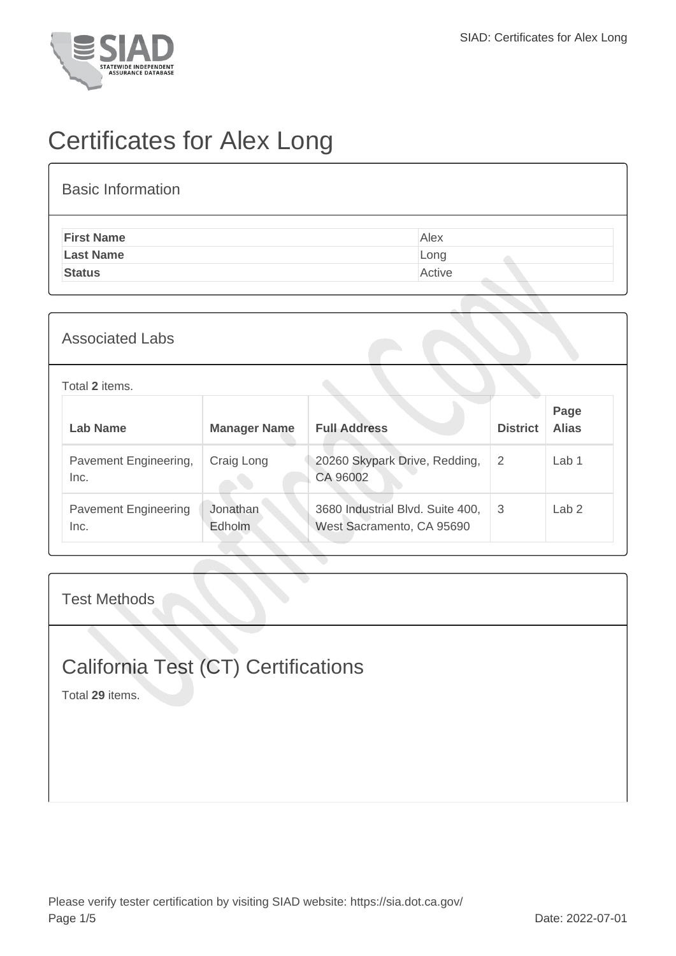

# Certificates for Alex Long

#### Basic Information

| <b>First Name</b> | Alex   |
|-------------------|--------|
| <b>Last Name</b>  | Long   |
| <b>Status</b>     | Active |
|                   |        |

#### Associated Labs

| Total 2 items.                      |                     |                                                               |                 |                      |  |  |
|-------------------------------------|---------------------|---------------------------------------------------------------|-----------------|----------------------|--|--|
| Lab Name                            | <b>Manager Name</b> | <b>Full Address</b>                                           | <b>District</b> | Page<br><b>Alias</b> |  |  |
| Pavement Engineering,<br>Inc.       | Craig Long          | 20260 Skypark Drive, Redding,<br>CA 96002                     | $\overline{2}$  | Lab 1                |  |  |
| <b>Pavement Engineering</b><br>Inc. | Jonathan<br>Edholm  | 3680 Industrial Blvd. Suite 400,<br>West Sacramento, CA 95690 | 3               | Lab <sub>2</sub>     |  |  |

#### Test Methods

## California Test (CT) Certifications

Total **29** items.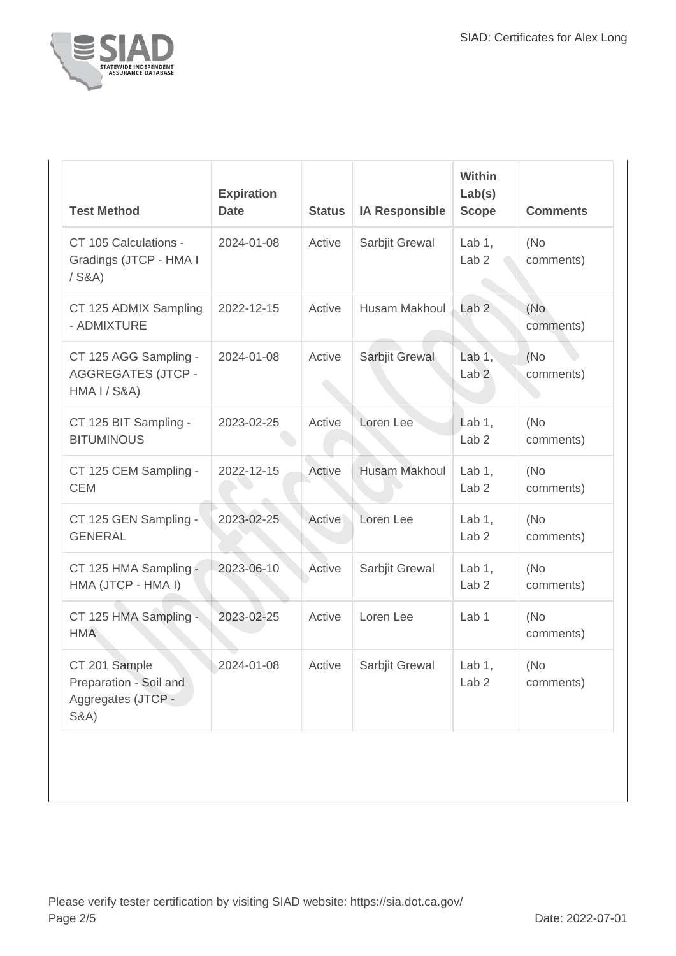

| <b>Test Method</b>                                                               | <b>Expiration</b><br><b>Date</b> | <b>Status</b> | <b>IA Responsible</b> | <b>Within</b><br>Lab(s)<br><b>Scope</b> | <b>Comments</b>   |
|----------------------------------------------------------------------------------|----------------------------------|---------------|-----------------------|-----------------------------------------|-------------------|
| CT 105 Calculations -<br>Gradings (JTCP - HMA I<br>$/$ S&A)                      | 2024-01-08                       | Active        | Sarbjit Grewal        | Lab $1$ ,<br>Lab <sub>2</sub>           | (No<br>comments)  |
| CT 125 ADMIX Sampling<br>- ADMIXTURE                                             | 2022-12-15                       | Active        | <b>Husam Makhoul</b>  | Lab <sub>2</sub>                        | (No<br>comments)  |
| CT 125 AGG Sampling -<br><b>AGGREGATES (JTCP -</b><br>HMA I / S&A)               | 2024-01-08                       | Active        | Sarbjit Grewal        | Lab $1,$<br>Lab <sub>2</sub>            | (No)<br>comments) |
| CT 125 BIT Sampling -<br><b>BITUMINOUS</b>                                       | 2023-02-25                       | Active        | Loren Lee             | Lab $1$ ,<br>Lab <sub>2</sub>           | (No<br>comments)  |
| CT 125 CEM Sampling -<br><b>CEM</b>                                              | 2022-12-15                       | Active        | <b>Husam Makhoul</b>  | Lab $1$ ,<br>Lab <sub>2</sub>           | (No<br>comments)  |
| CT 125 GEN Sampling -<br><b>GENERAL</b>                                          | 2023-02-25                       | Active        | Loren Lee             | Lab $1$ ,<br>Lab <sub>2</sub>           | (No<br>comments)  |
| CT 125 HMA Sampling -<br>HMA (JTCP - HMA I)                                      | 2023-06-10                       | Active        | Sarbjit Grewal        | Lab $1$ ,<br>Lab <sub>2</sub>           | (No<br>comments)  |
| CT 125 HMA Sampling -<br><b>HMA</b>                                              | 2023-02-25                       | Active        | Loren Lee             | Lab <sub>1</sub>                        | (No<br>comments)  |
| CT 201 Sample<br>Preparation - Soil and<br>Aggregates (JTCP -<br><b>S&amp;A)</b> | 2024-01-08                       | Active        | Sarbjit Grewal        | Lab $1$ ,<br>Lab <sub>2</sub>           | (No<br>comments)  |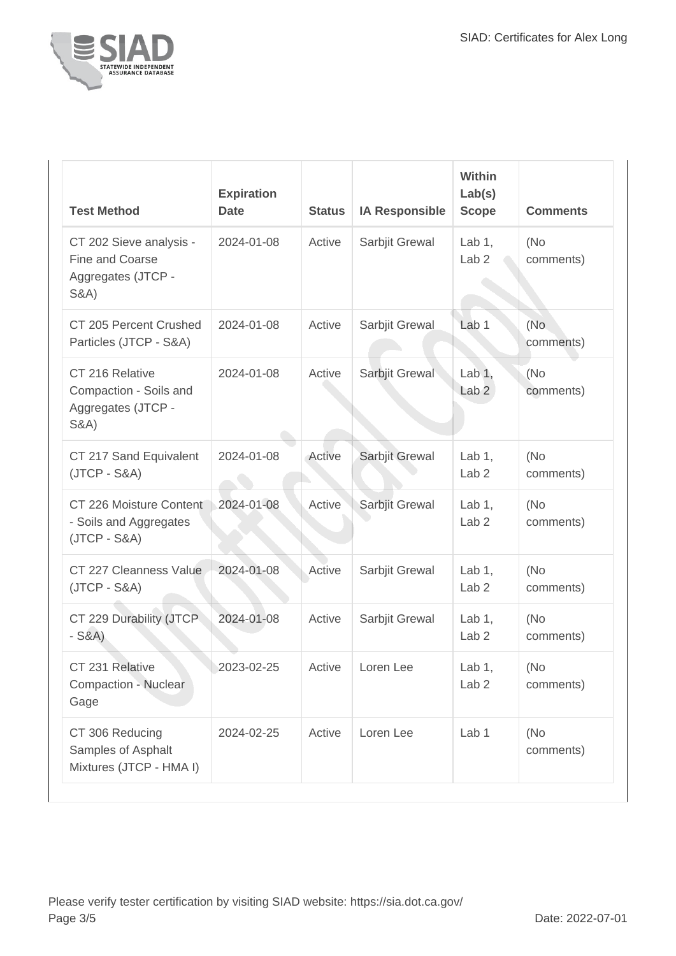

| <b>Test Method</b>                                                                  | <b>Expiration</b><br><b>Date</b> | <b>Status</b> | <b>IA Responsible</b> | <b>Within</b><br>Lab(s)<br><b>Scope</b> | <b>Comments</b>   |
|-------------------------------------------------------------------------------------|----------------------------------|---------------|-----------------------|-----------------------------------------|-------------------|
| CT 202 Sieve analysis -<br>Fine and Coarse<br>Aggregates (JTCP -<br><b>S&amp;A)</b> | 2024-01-08                       | Active        | Sarbjit Grewal        | Lab $1,$<br>Lab <sub>2</sub>            | (No<br>comments)  |
| CT 205 Percent Crushed<br>Particles (JTCP - S&A)                                    | 2024-01-08                       | Active        | Sarbjit Grewal        | Lab <sub>1</sub>                        | (No<br>comments)  |
| CT 216 Relative<br>Compaction - Soils and<br>Aggregates (JTCP -<br><b>S&amp;A</b> ) | 2024-01-08                       | Active        | Sarbjit Grewal        | Lab $1,$<br>Lab <sub>2</sub>            | (No)<br>comments) |
| CT 217 Sand Equivalent<br>$(JTCP - S&A)$                                            | 2024-01-08                       | Active        | Sarbjit Grewal        | Lab $1$ ,<br>Lab <sub>2</sub>           | (No)<br>comments) |
| CT 226 Moisture Content<br>- Soils and Aggregates<br>$(JTCP - S&A)$                 | 2024-01-08                       | Active        | Sarbjit Grewal        | Lab $1$ ,<br>Lab <sub>2</sub>           | (No<br>comments)  |
| CT 227 Cleanness Value<br>$(JTCP - S&A)$                                            | 2024-01-08                       | Active        | Sarbjit Grewal        | Lab $1$ ,<br>Lab <sub>2</sub>           | (No<br>comments)  |
| CT 229 Durability (JTCP<br>$-S&A)$                                                  | 2024-01-08                       | Active        | Sarbjit Grewal        | Lab $1$ ,<br>Lab <sub>2</sub>           | (No<br>comments)  |
| CT 231 Relative<br><b>Compaction - Nuclear</b><br>Gage                              | 2023-02-25                       | Active        | Loren Lee             | Lab $1,$<br>Lab <sub>2</sub>            | (No<br>comments)  |
| CT 306 Reducing<br>Samples of Asphalt<br>Mixtures (JTCP - HMA I)                    | 2024-02-25                       | Active        | Loren Lee             | Lab 1                                   | (No<br>comments)  |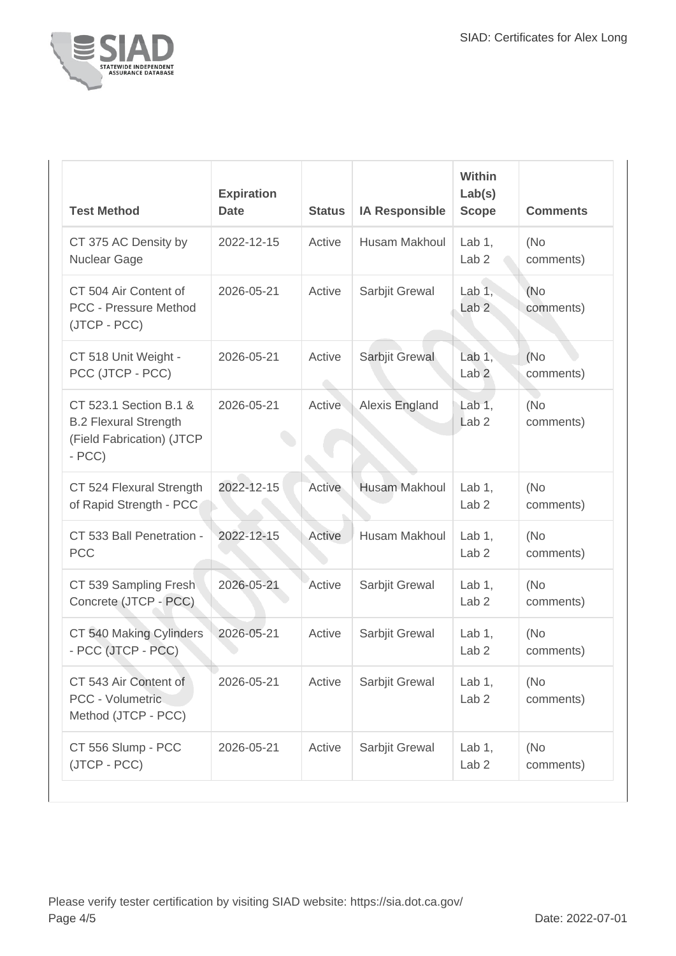

| <b>Test Method</b>                                                                             | <b>Expiration</b><br><b>Date</b> | <b>Status</b>                | <b>IA Responsible</b> | Within<br>Lab(s)<br><b>Scope</b> | <b>Comments</b>   |
|------------------------------------------------------------------------------------------------|----------------------------------|------------------------------|-----------------------|----------------------------------|-------------------|
| CT 375 AC Density by<br>Nuclear Gage                                                           | 2022-12-15                       | Active                       | <b>Husam Makhoul</b>  | Lab $1,$<br>Lab <sub>2</sub>     | (No)<br>comments) |
| CT 504 Air Content of<br><b>PCC - Pressure Method</b><br>(JTCP - PCC)                          | 2026-05-21                       | Active                       | Sarbjit Grewal        | Lab $1,$<br>Lab <sub>2</sub>     | (No)<br>comments) |
| CT 518 Unit Weight -<br>PCC (JTCP - PCC)                                                       | 2026-05-21                       | Active<br>$\curvearrowright$ | Sarbjit Grewal        | Lab $1$ ,<br>Lab <sub>2</sub>    | (No)<br>comments) |
| CT 523.1 Section B.1 &<br><b>B.2 Flexural Strength</b><br>(Field Fabrication) (JTCP<br>$- PCC$ | 2026-05-21                       | Active                       | Alexis England        | Lab $1,$<br>Lab <sub>2</sub>     | (No<br>comments)  |
| CT 524 Flexural Strength<br>of Rapid Strength - PCC                                            | 2022-12-15                       | Active                       | <b>Husam Makhoul</b>  | Lab $1,$<br>Lab <sub>2</sub>     | (No<br>comments)  |
| CT 533 Ball Penetration -<br><b>PCC</b>                                                        | 2022-12-15                       | Active                       | Husam Makhoul         | Lab $1,$<br>Lab <sub>2</sub>     | (No)<br>comments) |
| CT 539 Sampling Fresh<br>Concrete (JTCP - PCC)                                                 | 2026-05-21                       | Active                       | Sarbjit Grewal        | Lab $1$ ,<br>Lab <sub>2</sub>    | (No)<br>comments) |
| CT 540 Making Cylinders<br>- PCC (JTCP - PCC)                                                  | 2026-05-21                       | Active                       | Sarbjit Grewal        | Lab $1$ ,<br>Lab <sub>2</sub>    | (No<br>comments)  |
| CT 543 Air Content of<br>PCC - Volumetric<br>Method (JTCP - PCC)                               | 2026-05-21                       | Active                       | Sarbjit Grewal        | Lab $1,$<br>Lab <sub>2</sub>     | (No<br>comments)  |
| CT 556 Slump - PCC<br>(JTCP - PCC)                                                             | 2026-05-21                       | Active                       | Sarbjit Grewal        | Lab $1,$<br>Lab <sub>2</sub>     | (No<br>comments)  |